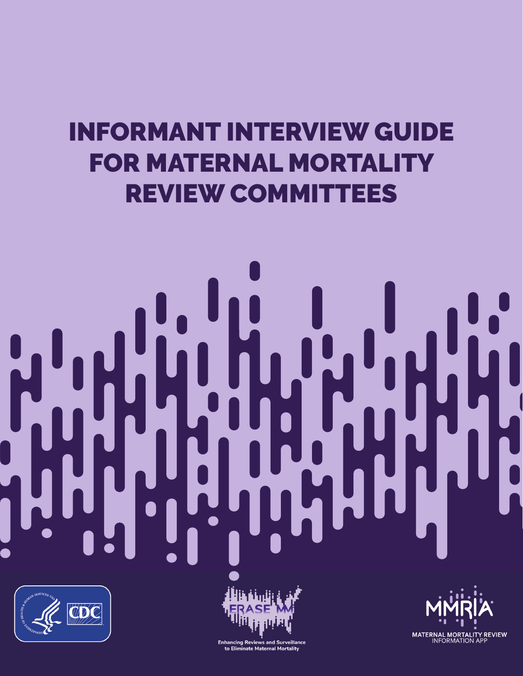# INFORMANT INTERVIEW GUIDE FOR MATERNAL MORTALITY REVIEW COMMITTEES





**MATERNAL MORTALITY REVIEW**<br>INFORMATION APP

Enhancing Reviews and Surveillance<br>to Eliminate Maternal Mortality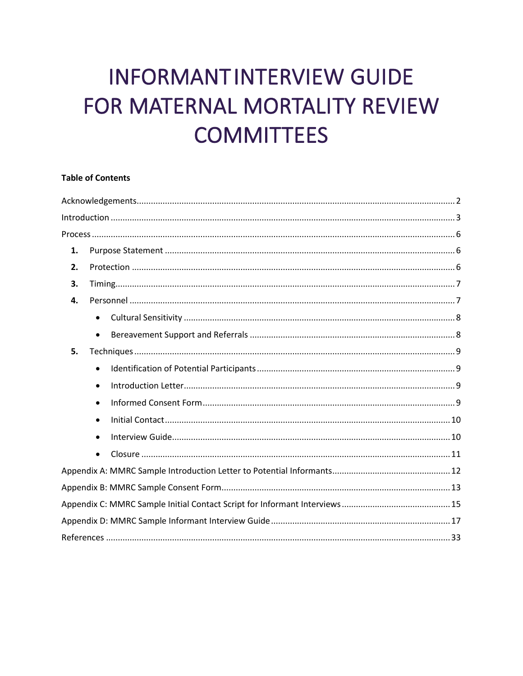## **INFORMANTINTERVIEW GUIDE** FOR MATERNAL MORTALITY REVIEW **COMMITTEES**

## **Table of Contents**

| 1. |           |  |  |  |
|----|-----------|--|--|--|
| 2. |           |  |  |  |
| 3. |           |  |  |  |
| 4. |           |  |  |  |
|    | $\bullet$ |  |  |  |
|    | $\bullet$ |  |  |  |
| 5. |           |  |  |  |
|    | $\bullet$ |  |  |  |
|    | $\bullet$ |  |  |  |
|    | $\bullet$ |  |  |  |
|    | $\bullet$ |  |  |  |
|    | $\bullet$ |  |  |  |
|    | $\bullet$ |  |  |  |
|    |           |  |  |  |
|    |           |  |  |  |
|    |           |  |  |  |
|    |           |  |  |  |
|    |           |  |  |  |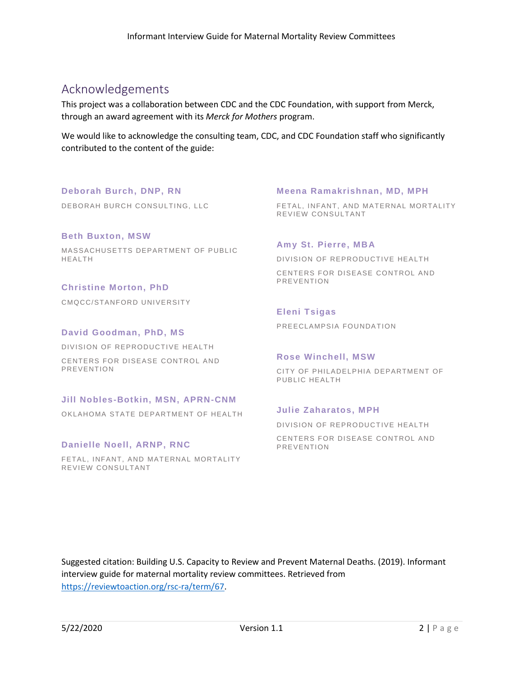## <span id="page-2-0"></span>Acknowledgements

This project was a collaboration between CDC and the CDC Foundation, with support from Merck, through an award agreement with its *Merck for Mothers* program.

We would like to acknowledge the consulting team, CDC, and CDC Foundation staff who significantly contributed to the content of the guide:

**Deborah Burch, DNP, RN** DEBORAH BURCH CONSULTING, LLC

**Beth Buxton, MSW** MASSACHUSETTS DEPARTMENT OF PUBLIC HEALTH

**Christine Morton, PhD** CMQCC/STANFORD UNIVERSITY

**David Goodman, PhD, MS** DIVISION OF REPRODUCTIVE HEALTH CENTERS FOR DISEASE CONTROL AND PREVENTION

## **Jill Nobles-Botkin, MSN, APRN-CNM**

OKLAHOMA STATE DEPARTMENT OF HEALTH

## **Danielle Noell, ARNP, RNC**

FETAL, INFANT, AND MATERNAL MORTALITY REVIEW CONSULTANT

## **Meena Ramakrishnan, MD, MPH**

FETAL, INFANT, AND MATERNAL MORTALITY REVIEW CONSULTANT

## **Amy St. Pierre, MBA**

DIVISION OF REPRODUCTIVE HEALTH CENTERS FOR DISEASE CONTROL AND PREVENTION

## **Eleni Tsigas**

PREECLAMPSIA FOUNDATION

### **Rose Winchell, MSW**

CITY OF PHILADELPHIA DEPARTMENT OF PUBLIC HEALTH

## **Julie Zaharatos, MPH**

DIVISION OF REPRODUCTIVE HEALTH CENTERS FOR DISEASE CONTROL AND PREVENTION

Suggested citation: Building U.S. Capacity to Review and Prevent Maternal Deaths. (2019). Informant interview guide for maternal mortality review committees. Retrieved from [https://reviewtoaction.org/rsc-ra/term/67.](https://reviewtoaction.org/rsc-ra/term/67)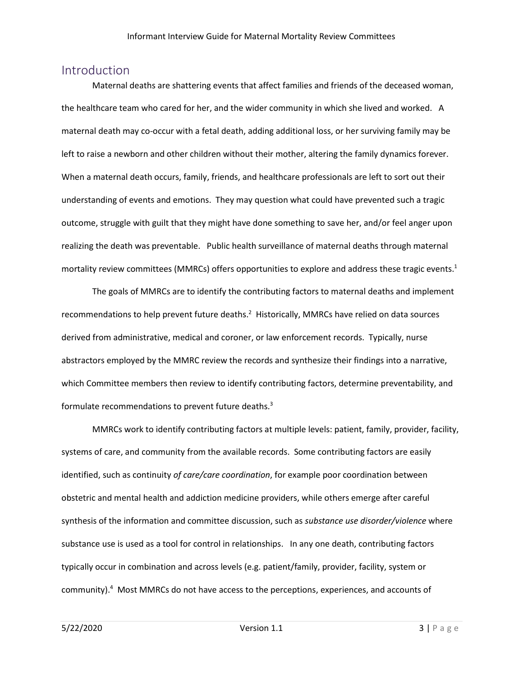## <span id="page-3-0"></span>Introduction

Maternal deaths are shattering events that affect families and friends of the deceased woman, the healthcare team who cared for her, and the wider community in which she lived and worked. A maternal death may co-occur with a fetal death, adding additional loss, or her surviving family may be left to raise a newborn and other children without their mother, altering the family dynamics forever. When a maternal death occurs, family, friends, and healthcare professionals are left to sort out their understanding of events and emotions. They may question what could have prevented such a tragic outcome, struggle with guilt that they might have done something to save her, and/or feel anger upon realizing the death was preventable. Public health surveillance of maternal deaths through maternal mortality review committees (MMRCs) offers opportunities to explore and address these tragic events. 1

The goals of MMRCs are to identify the contributing factors to maternal deaths and implement recommendations to help prevent future deaths. $^2$  Historically, MMRCs have relied on data sources derived from administrative, medical and coroner, or law enforcement records. Typically, nurse abstractors employed by the MMRC review the records and synthesize their findings into a narrative, which Committee members then review to identify contributing factors, determine preventability, and formulate recommendations to prevent future deaths.<sup>3</sup>

MMRCs work to identify contributing factors at multiple levels: patient, family, provider, facility, systems of care, and community from the available records. Some contributing factors are easily identified, such as continuity *of care/care coordination*, for example poor coordination between obstetric and mental health and addiction medicine providers, while others emerge after careful synthesis of the information and committee discussion, such as *substance use disorder/violence* where substance use is used as a tool for control in relationships. In any one death, contributing factors typically occur in combination and across levels (e.g. patient/family, provider, facility, system or community).<sup>4</sup> Most MMRCs do not have access to the perceptions, experiences, and accounts of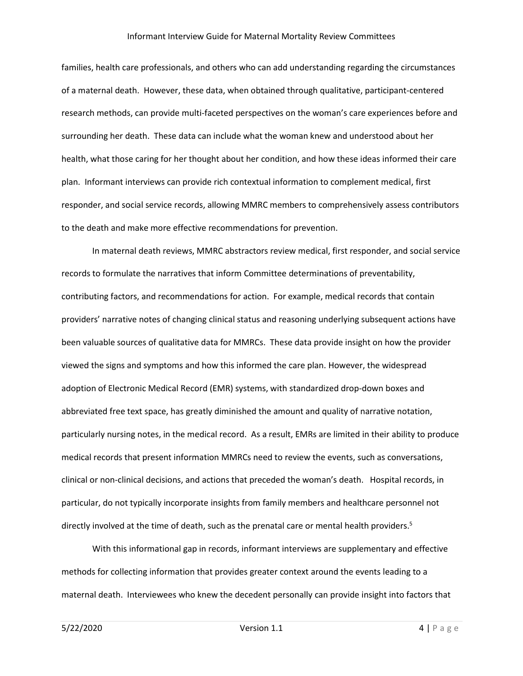families, health care professionals, and others who can add understanding regarding the circumstances of a maternal death. However, these data, when obtained through qualitative, participant-centered research methods, can provide multi-faceted perspectives on the woman's care experiences before and surrounding her death. These data can include what the woman knew and understood about her health, what those caring for her thought about her condition, and how these ideas informed their care plan. Informant interviews can provide rich contextual information to complement medical, first responder, and social service records, allowing MMRC members to comprehensively assess contributors to the death and make more effective recommendations for prevention.

In maternal death reviews, MMRC abstractors review medical, first responder, and social service records to formulate the narratives that inform Committee determinations of preventability, contributing factors, and recommendations for action. For example, medical records that contain providers' narrative notes of changing clinical status and reasoning underlying subsequent actions have been valuable sources of qualitative data for MMRCs. These data provide insight on how the provider viewed the signs and symptoms and how this informed the care plan. However, the widespread adoption of Electronic Medical Record (EMR) systems, with standardized drop-down boxes and abbreviated free text space, has greatly diminished the amount and quality of narrative notation, particularly nursing notes, in the medical record. As a result, EMRs are limited in their ability to produce medical records that present information MMRCs need to review the events, such as conversations, clinical or non-clinical decisions, and actions that preceded the woman's death. Hospital records, in particular, do not typically incorporate insights from family members and healthcare personnel not directly involved at the time of death, such as the prenatal care or mental health providers.<sup>5</sup>

With this informational gap in records, informant interviews are supplementary and effective methods for collecting information that provides greater context around the events leading to a maternal death. Interviewees who knew the decedent personally can provide insight into factors that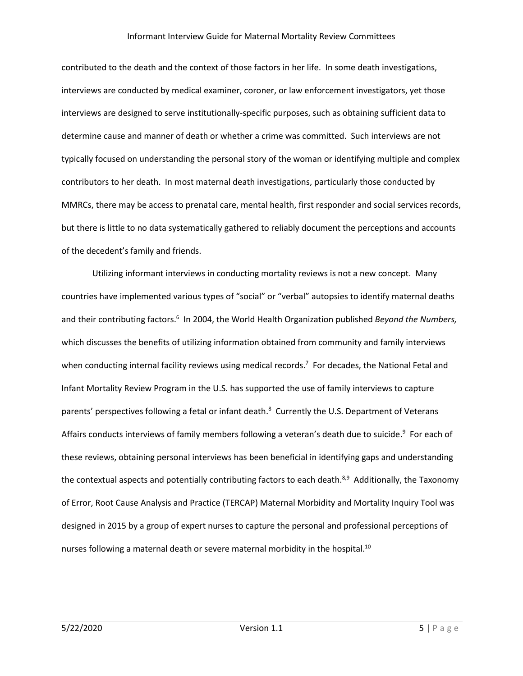contributed to the death and the context of those factors in her life. In some death investigations, interviews are conducted by medical examiner, coroner, or law enforcement investigators, yet those interviews are designed to serve institutionally-specific purposes, such as obtaining sufficient data to determine cause and manner of death or whether a crime was committed. Such interviews are not typically focused on understanding the personal story of the woman or identifying multiple and complex contributors to her death. In most maternal death investigations, particularly those conducted by MMRCs, there may be access to prenatal care, mental health, first responder and social services records, but there is little to no data systematically gathered to reliably document the perceptions and accounts of the decedent's family and friends.

Utilizing informant interviews in conducting mortality reviews is not a new concept. Many countries have implemented various types of "social" or "verbal" autopsies to identify maternal deaths and their contributing factors. 6 In 2004, the World Health Organization published *Beyond the Numbers,* which discusses the benefits of utilizing information obtained from community and family interviews when conducting internal facility reviews using medical records.<sup>7</sup> For decades, the National Fetal and Infant Mortality Review Program in the U.S. has supported the use of family interviews to capture parents' perspectives following a fetal or infant death.<sup>8</sup> Currently the U.S. Department of Veterans Affairs conducts interviews of family members following a veteran's death due to suicide.<sup>9</sup> For each of these reviews, obtaining personal interviews has been beneficial in identifying gaps and understanding the contextual aspects and potentially contributing factors to each death.<sup>8,9</sup> Additionally, the Taxonomy of Error, Root Cause Analysis and Practice (TERCAP) Maternal Morbidity and Mortality Inquiry Tool was designed in 2015 by a group of expert nurses to capture the personal and professional perceptions of nurses following a maternal death or severe maternal morbidity in the hospital.<sup>10</sup>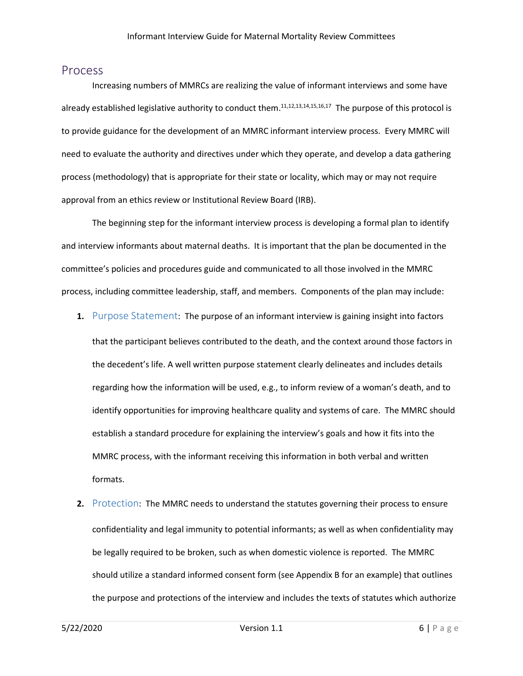## <span id="page-6-0"></span>Process

Increasing numbers of MMRCs are realizing the value of informant interviews and some have already established legislative authority to conduct them.<sup>11,12,13,14,15,16,17</sup> The purpose of this protocol is to provide guidance for the development of an MMRC informant interview process. Every MMRC will need to evaluate the authority and directives under which they operate, and develop a data gathering process (methodology) that is appropriate for their state or locality, which may or may not require approval from an ethics review or Institutional Review Board (IRB).

The beginning step for the informant interview process is developing a formal plan to identify and interview informants about maternal deaths. It is important that the plan be documented in the committee's policies and procedures guide and communicated to all those involved in the MMRC process, including committee leadership, staff, and members. Components of the plan may include:

**1.** Purpose Statement: The purpose of an informant interview is gaining insight into factors

that the participant believes contributed to the death, and the context around those factors in the decedent's life. A well written purpose statement clearly delineates and includes details regarding how the information will be used, e.g., to inform review of a woman's death, and to identify opportunities for improving healthcare quality and systems of care. The MMRC should establish a standard procedure for explaining the interview's goals and how it fits into the MMRC process, with the informant receiving this information in both verbal and written formats.

**2.** Protection: The MMRC needs to understand the statutes governing their process to ensure confidentiality and legal immunity to potential informants; as well as when confidentiality may be legally required to be broken, such as when domestic violence is reported. The MMRC should utilize a standard informed consent form (see Appendix B for an example) that outlines the purpose and protections of the interview and includes the texts of statutes which authorize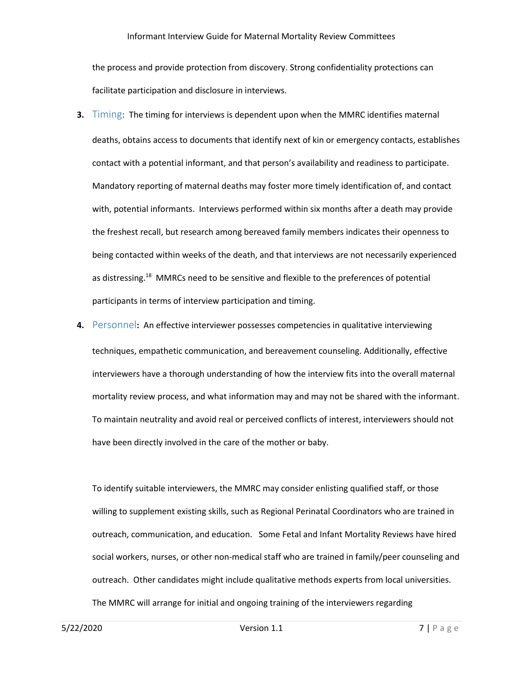the process and provide protection from discovery. Strong confidentiality protections can facilitate participation and disclosure in interviews.

- <span id="page-7-0"></span>**3.** Timing: The timing for interviews is dependent upon when the MMRC identifies maternal deaths, obtains access to documents that identify next of kin or emergency contacts, establishes contact with a potential informant, and that person's availability and readiness to participate. Mandatory reporting of maternal deaths may foster more timely identification of, and contact with, potential informants. Interviews performed within six months after a death may provide the freshest recall, but research among bereaved family members indicates their openness to being contacted within weeks of the death, and that interviews are not necessarily experienced as distressing.<sup>18</sup> MMRCs need to be sensitive and flexible to the preferences of potential participants in terms of interview participation and timing.
- **4.** Personnel**:** An effective interviewer possesses competencies in qualitative interviewing techniques, empathetic communication, and bereavement counseling. Additionally, effective interviewers have a thorough understanding of how the interview fits into the overall maternal mortality review process, and what information may and may not be shared with the informant. To maintain neutrality and avoid real or perceived conflicts of interest, interviewers should not have been directly involved in the care of the mother or baby.

To identify suitable interviewers, the MMRC may consider enlisting qualified staff, or those willing to supplement existing skills, such as Regional Perinatal Coordinators who are trained in outreach, communication, and education. Some Fetal and Infant Mortality Reviews have hired social workers, nurses, or other non-medical staff who are trained in family/peer counseling and outreach. Other candidates might include qualitative methods experts from local universities. The MMRC will arrange for initial and ongoing training of the interviewers regarding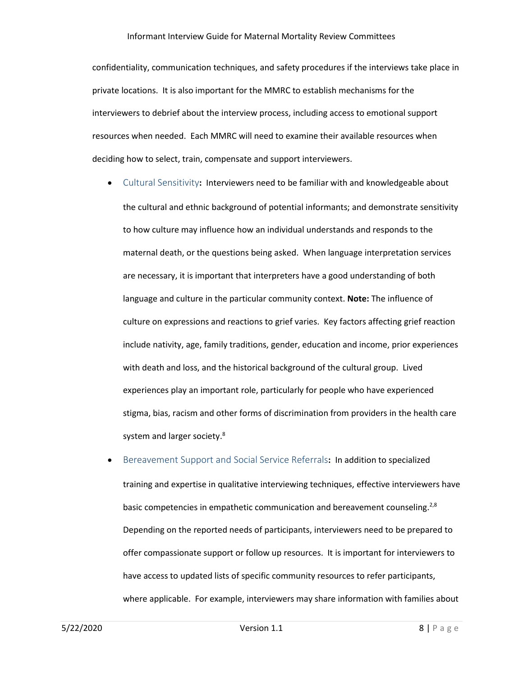confidentiality, communication techniques, and safety procedures if the interviews take place in private locations. It is also important for the MMRC to establish mechanisms for the interviewers to debrief about the interview process, including access to emotional support resources when needed. Each MMRC will need to examine their available resources when deciding how to select, train, compensate and support interviewers.

- <span id="page-8-0"></span>• Cultural Sensitivity**:** Interviewers need to be familiar with and knowledgeable about the cultural and ethnic background of potential informants; and demonstrate sensitivity to how culture may influence how an individual understands and responds to the maternal death, or the questions being asked. When language interpretation services are necessary, it is important that interpreters have a good understanding of both language and culture in the particular community context. **Note:** The influence of culture on expressions and reactions to grief varies. Key factors affecting grief reaction include nativity, age, family traditions, gender, education and income, prior experiences with death and loss, and the historical background of the cultural group. Lived experiences play an important role, particularly for people who have experienced stigma, bias, racism and other forms of discrimination from providers in the health care system and larger society.<sup>8</sup>
- Bereavement Support and Social Service Referrals**:** In addition to specialized training and expertise in qualitative interviewing techniques, effective interviewers have basic competencies in empathetic communication and bereavement counseling.<sup>2,8</sup> Depending on the reported needs of participants, interviewers need to be prepared to offer compassionate support or follow up resources. It is important for interviewers to have access to updated lists of specific community resources to refer participants, where applicable. For example, interviewers may share information with families about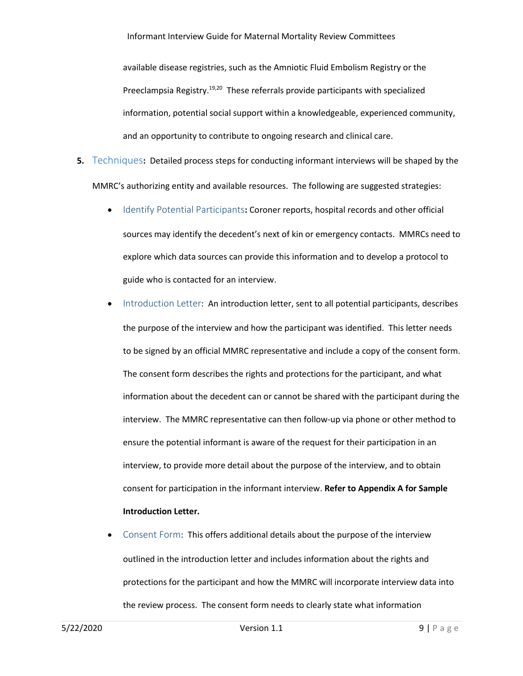available disease registries, such as the Amniotic Fluid Embolism Registry or the Preeclampsia Registry.<sup>19,20</sup> These referrals provide participants with specialized information, potential social support within a knowledgeable, experienced community, and an opportunity to contribute to ongoing research and clinical care.

- <span id="page-9-0"></span>**5.** Techniques**:** Detailed process steps for conducting informant interviews will be shaped by the MMRC's authorizing entity and available resources. The following are suggested strategies:
	- Identify Potential Participants**:** Coroner reports, hospital records and other official sources may identify the decedent's next of kin or emergency contacts. MMRCs need to explore which data sources can provide this information and to develop a protocol to guide who is contacted for an interview.
	- Introduction Letter: An introduction letter, sent to all potential participants, describes the purpose of the interview and how the participant was identified. This letter needs to be signed by an official MMRC representative and include a copy of the consent form. The consent form describes the rights and protections for the participant, and what information about the decedent can or cannot be shared with the participant during the interview. The MMRC representative can then follow-up via phone or other method to ensure the potential informant is aware of the request for their participation in an interview, to provide more detail about the purpose of the interview, and to obtain consent for participation in the informant interview. **Refer to Appendix A for Sample Introduction Letter.**
	- Consent Form: This offers additional details about the purpose of the interview outlined in the introduction letter and includes information about the rights and protections for the participant and how the MMRC will incorporate interview data into the review process. The consent form needs to clearly state what information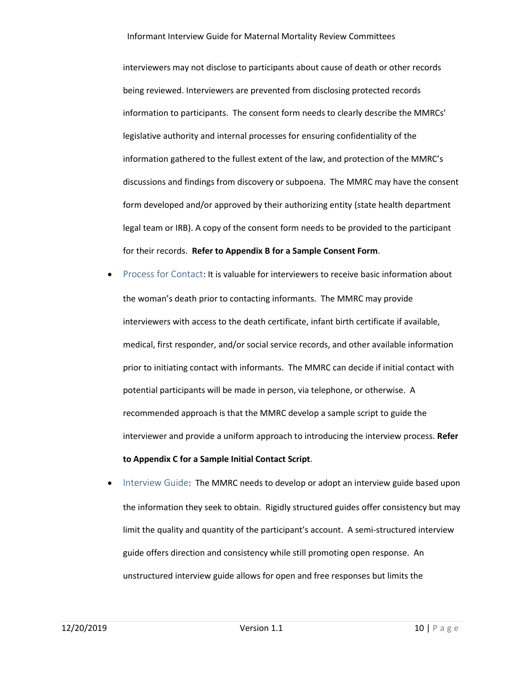interviewers may not disclose to participants about cause of death or other records being reviewed. Interviewers are prevented from disclosing protected records information to participants. The consent form needs to clearly describe the MMRCs' legislative authority and internal processes for ensuring confidentiality of the information gathered to the fullest extent of the law, and protection of the MMRC's discussions and findings from discovery or subpoena. The MMRC may have the consent form developed and/or approved by their authorizing entity (state health department legal team or IRB). A copy of the consent form needs to be provided to the participant for their records. **Refer to Appendix B for a Sample Consent Form**.

- <span id="page-10-0"></span>Process for Contact: It is valuable for interviewers to receive basic information about the woman's death prior to contacting informants. The MMRC may provide interviewers with access to the death certificate, infant birth certificate if available, medical, first responder, and/or social service records, and other available information prior to initiating contact with informants. The MMRC can decide if initial contact with potential participants will be made in person, via telephone, or otherwise. A recommended approach is that the MMRC develop a sample script to guide the interviewer and provide a uniform approach to introducing the interview process. **Refer to Appendix C for a Sample Initial Contact Script**.
- Interview Guide: The MMRC needs to develop or adopt an interview guide based upon the information they seek to obtain. Rigidly structured guides offer consistency but may limit the quality and quantity of the participant's account. A semi-structured interview guide offers direction and consistency while still promoting open response. An unstructured interview guide allows for open and free responses but limits the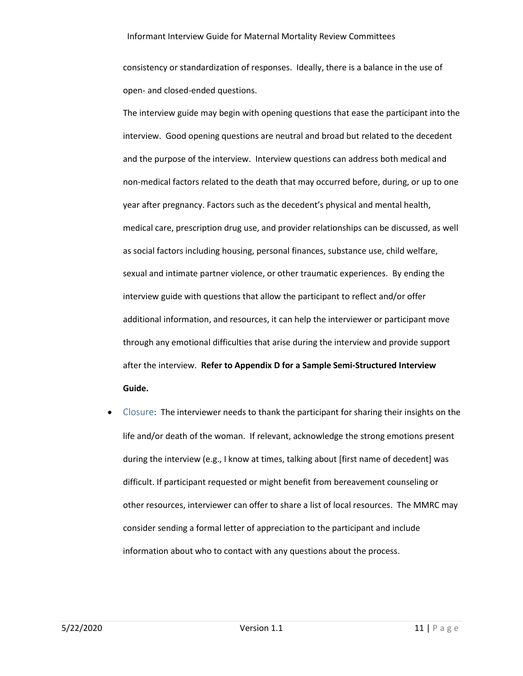consistency or standardization of responses. Ideally, there is a balance in the use of open- and closed-ended questions.

The interview guide may begin with opening questions that ease the participant into the interview. Good opening questions are neutral and broad but related to the decedent and the purpose of the interview. Interview questions can address both medical and non-medical factors related to the death that may occurred before, during, or up to one year after pregnancy. Factors such as the decedent's physical and mental health, medical care, prescription drug use, and provider relationships can be discussed, as well as social factors including housing, personal finances, substance use, child welfare, sexual and intimate partner violence, or other traumatic experiences. By ending the interview guide with questions that allow the participant to reflect and/or offer additional information, and resources, it can help the interviewer or participant move through any emotional difficulties that arise during the interview and provide support after the interview. **Refer to Appendix D for a Sample Semi-Structured Interview Guide.**

<span id="page-11-0"></span>• Closure: The interviewer needs to thank the participant for sharing their insights on the life and/or death of the woman. If relevant, acknowledge the strong emotions present during the interview (e.g., I know at times, talking about [first name of decedent] was difficult. If participant requested or might benefit from bereavement counseling or other resources, interviewer can offer to share a list of local resources. The MMRC may consider sending a formal letter of appreciation to the participant and include information about who to contact with any questions about the process.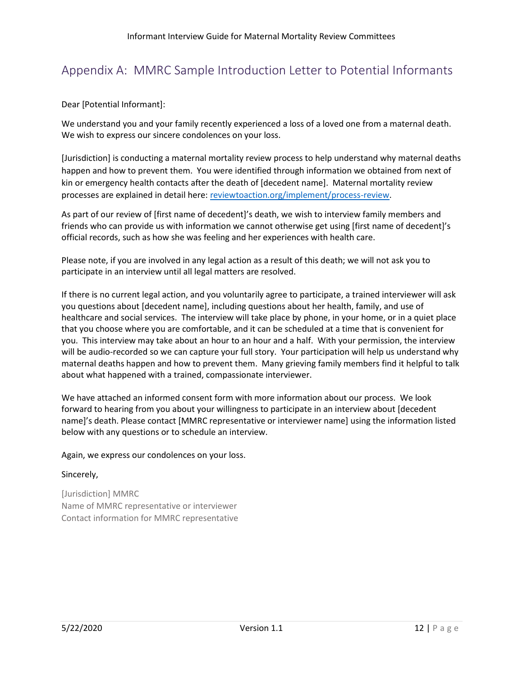## <span id="page-12-0"></span>Appendix A: MMRC Sample Introduction Letter to Potential Informants

Dear [Potential Informant]:

We understand you and your family recently experienced a loss of a loved one from a maternal death. We wish to express our sincere condolences on your loss.

[Jurisdiction] is conducting a maternal mortality review process to help understand why maternal deaths happen and how to prevent them. You were identified through information we obtained from next of kin or emergency health contacts after the death of [decedent name]. Maternal mortality review processes are explained in detail here: reviewtoaction.org/implement/process-review.

As part of our review of [first name of decedent]'s death, we wish to interview family members and friends who can provide us with information we cannot otherwise get using [first name of decedent]'s official records, such as how she was feeling and her experiences with health care.

Please note, if you are involved in any legal action as a result of this death; we will not ask you to participate in an interview until all legal matters are resolved.

If there is no current legal action, and you voluntarily agree to participate, a trained interviewer will ask you questions about [decedent name], including questions about her health, family, and use of healthcare and social services. The interview will take place by phone, in your home, or in a quiet place that you choose where you are comfortable, and it can be scheduled at a time that is convenient for you. This interview may take about an hour to an hour and a half. With your permission, the interview will be audio-recorded so we can capture your full story. Your participation will help us understand why maternal deaths happen and how to prevent them. Many grieving family members find it helpful to talk about what happened with a trained, compassionate interviewer.

We have attached an informed consent form with more information about our process. We look forward to hearing from you about your willingness to participate in an interview about [decedent name]'s death. Please contact [MMRC representative or interviewer name] using the information listed below with any questions or to schedule an interview.

## Again, we express our condolences on your loss.

## Sincerely,

[Jurisdiction] MMRC Name of MMRC representative or interviewer Contact information for MMRC representative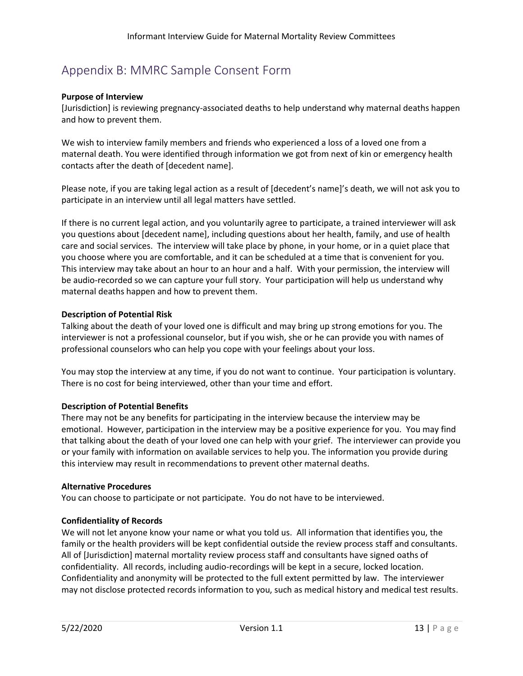## <span id="page-13-0"></span>Appendix B: MMRC Sample Consent Form

## **Purpose of Interview**

[Jurisdiction] is reviewing pregnancy-associated deaths to help understand why maternal deaths happen and how to prevent them.

We wish to interview family members and friends who experienced a loss of a loved one from a maternal death. You were identified through information we got from next of kin or emergency health contacts after the death of [decedent name].

Please note, if you are taking legal action as a result of [decedent's name]'s death, we will not ask you to participate in an interview until all legal matters have settled.

If there is no current legal action, and you voluntarily agree to participate, a trained interviewer will ask you questions about [decedent name], including questions about her health, family, and use of health care and social services. The interview will take place by phone, in your home, or in a quiet place that you choose where you are comfortable, and it can be scheduled at a time that is convenient for you. This interview may take about an hour to an hour and a half. With your permission, the interview will be audio-recorded so we can capture your full story. Your participation will help us understand why maternal deaths happen and how to prevent them.

## **Description of Potential Risk**

Talking about the death of your loved one is difficult and may bring up strong emotions for you. The interviewer is not a professional counselor, but if you wish, she or he can provide you with names of professional counselors who can help you cope with your feelings about your loss.

You may stop the interview at any time, if you do not want to continue. Your participation is voluntary. There is no cost for being interviewed, other than your time and effort.

## **Description of Potential Benefits**

There may not be any benefits for participating in the interview because the interview may be emotional. However, participation in the interview may be a positive experience for you. You may find that talking about the death of your loved one can help with your grief. The interviewer can provide you or your family with information on available services to help you. The information you provide during this interview may result in recommendations to prevent other maternal deaths.

## **Alternative Procedures**

You can choose to participate or not participate. You do not have to be interviewed.

## **Confidentiality of Records**

We will not let anyone know your name or what you told us. All information that identifies you, the family or the health providers will be kept confidential outside the review process staff and consultants. All of [Jurisdiction] maternal mortality review process staff and consultants have signed oaths of confidentiality. All records, including audio-recordings will be kept in a secure, locked location. Confidentiality and anonymity will be protected to the full extent permitted by law. The interviewer may not disclose protected records information to you, such as medical history and medical test results.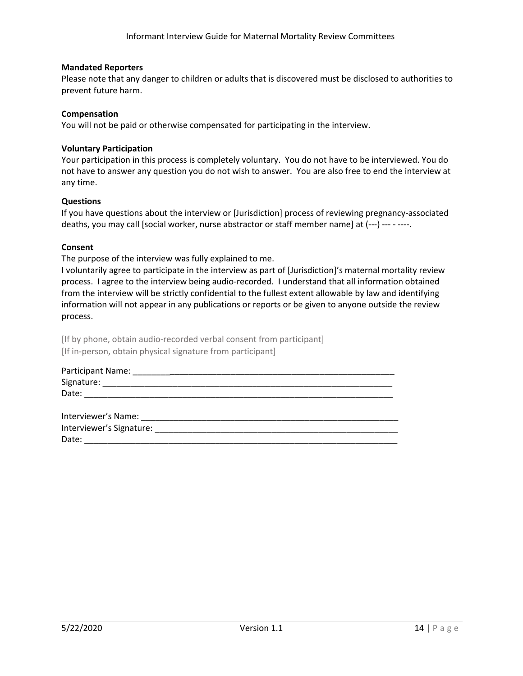## **Mandated Reporters**

Please note that any danger to children or adults that is discovered must be disclosed to authorities to prevent future harm.

## **Compensation**

You will not be paid or otherwise compensated for participating in the interview.

## **Voluntary Participation**

Your participation in this process is completely voluntary. You do not have to be interviewed. You do not have to answer any question you do not wish to answer. You are also free to end the interview at any time.

## **Questions**

If you have questions about the interview or [Jurisdiction] process of reviewing pregnancy-associated deaths, you may call [social worker, nurse abstractor or staff member name] at (---) --- - ----.

## **Consent**

The purpose of the interview was fully explained to me.

I voluntarily agree to participate in the interview as part of [Jurisdiction]'s maternal mortality review process. I agree to the interview being audio-recorded. I understand that all information obtained from the interview will be strictly confidential to the fullest extent allowable by law and identifying information will not appear in any publications or reports or be given to anyone outside the review process.

[If by phone, obtain audio-recorded verbal consent from participant] [If in-person, obtain physical signature from participant]

| Participant Name: |  |  |  |
|-------------------|--|--|--|
| Signature:        |  |  |  |
| Date:             |  |  |  |
|                   |  |  |  |

\_\_\_\_\_\_\_\_\_\_\_\_\_\_\_\_\_\_\_\_\_\_\_\_\_\_\_\_\_\_\_\_\_\_\_\_\_\_\_\_\_\_\_ \_\_\_\_\_\_\_\_\_\_\_\_ Interviewer's Name: \_\_\_\_\_\_\_\_\_\_\_\_\_\_\_\_\_\_\_\_\_\_\_\_\_\_\_\_\_\_\_\_\_\_\_\_\_\_\_\_\_\_\_\_\_\_ \_\_\_\_\_\_ Interviewer's Signature: \_\_\_\_\_\_\_\_\_\_\_\_\_\_\_\_\_\_\_\_\_\_\_\_\_\_\_\_\_\_\_\_\_\_\_\_\_\_\_\_\_\_\_\_\_\_\_\_\_\_\_\_\_\_\_\_\_\_\_\_\_\_\_\_\_\_\_ Date: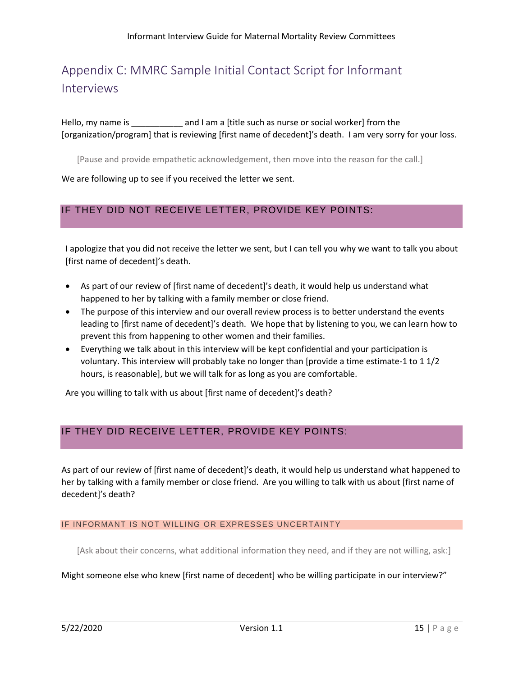## <span id="page-15-0"></span>Appendix C: MMRC Sample Initial Contact Script for Informant Interviews

Hello, my name is \_\_\_\_\_\_\_\_\_\_\_\_\_ and I am a [title such as nurse or social worker] from the [organization/program] that is reviewing [first name of decedent]'s death. I am very sorry for your loss.

[Pause and provide empathetic acknowledgement, then move into the reason for the call.]

We are following up to see if you received the letter we sent.

## IF THEY DID NOT RECEIVE LETTER, PROVIDE KEY POINTS:

I apologize that you did not receive the letter we sent, but I can tell you why we want to talk you about [first name of decedent]'s death.

- As part of our review of [first name of decedent]'s death, it would help us understand what happened to her by talking with a family member or close friend.
- The purpose of this interview and our overall review process is to better understand the events leading to [first name of decedent]'s death. We hope that by listening to you, we can learn how to prevent this from happening to other women and their families.
- Everything we talk about in this interview will be kept confidential and your participation is voluntary. This interview will probably take no longer than [provide a time estimate-1 to 1 1/2 hours, is reasonable], but we will talk for as long as you are comfortable.

Are you willing to talk with us about [first name of decedent]'s death?

## IF THEY DID RECEIVE LETTER, PROVIDE KEY POINTS:

As part of our review of [first name of decedent]'s death, it would help us understand what happened to her by talking with a family member or close friend. Are you willing to talk with us about [first name of decedent]'s death?

## IF INFORMANT IS NOT WILLING OR EXPRESSES UNCERTAINTY

[Ask about their concerns, what additional information they need, and if they are not willing, ask:]

## Might someone else who knew [first name of decedent] who be willing participate in our interview?"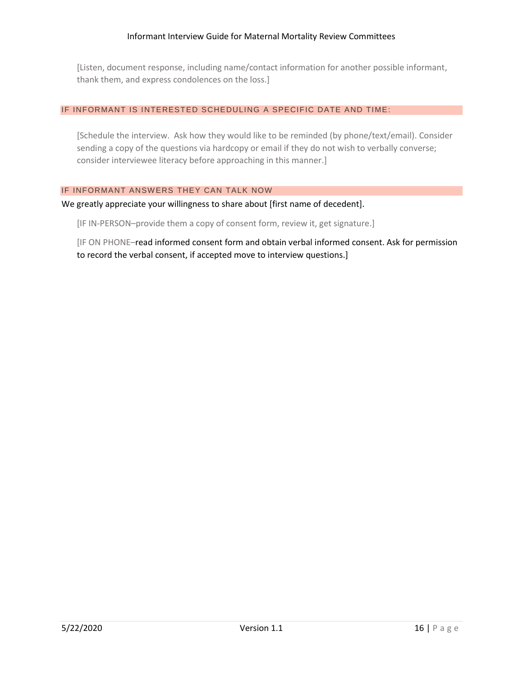[Listen, document response, including name/contact information for another possible informant, thank them, and express condolences on the loss.]

## IF INFORMANT IS INTERESTED SCHEDULING A SPECIFIC DATE AND TIME:

[Schedule the interview. Ask how they would like to be reminded (by phone/text/email). Consider sending a copy of the questions via hardcopy or email if they do not wish to verbally converse; consider interviewee literacy before approaching in this manner.]

## IF INFORMANT ANSWERS THEY CAN TALK NOW

We greatly appreciate your willingness to share about [first name of decedent].

[IF IN-PERSON–provide them a copy of consent form, review it, get signature.]

[IF ON PHONE–read informed consent form and obtain verbal informed consent. Ask for permission to record the verbal consent, if accepted move to interview questions.]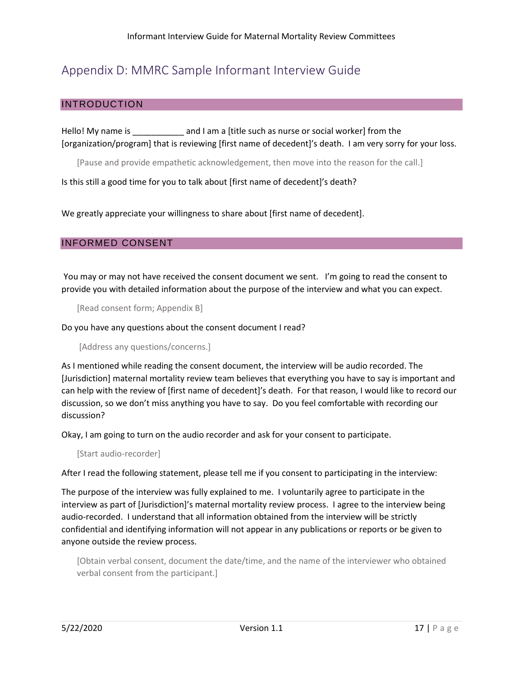## <span id="page-17-0"></span>Appendix D: MMRC Sample Informant Interview Guide

## INTRODUCTION

Hello! My name is \_\_\_\_\_\_\_\_\_\_\_\_\_\_\_ and I am a [title such as nurse or social worker] from the [organization/program] that is reviewing [first name of decedent]'s death. I am very sorry for your loss.

[Pause and provide empathetic acknowledgement, then move into the reason for the call.]

Is this still a good time for you to talk about [first name of decedent]'s death?

We greatly appreciate your willingness to share about [first name of decedent].

## INFORMED CONSENT

You may or may not have received the consent document we sent. I'm going to read the consent to provide you with detailed information about the purpose of the interview and what you can expect.

[Read consent form; Appendix B]

Do you have any questions about the consent document I read?

[Address any questions/concerns.]

As I mentioned while reading the consent document, the interview will be audio recorded. The [Jurisdiction] maternal mortality review team believes that everything you have to say is important and can help with the review of [first name of decedent]'s death. For that reason, I would like to record our discussion, so we don't miss anything you have to say. Do you feel comfortable with recording our discussion?

Okay, I am going to turn on the audio recorder and ask for your consent to participate.

[Start audio-recorder]

After I read the following statement, please tell me if you consent to participating in the interview:

The purpose of the interview was fully explained to me. I voluntarily agree to participate in the interview as part of [Jurisdiction]'s maternal mortality review process. I agree to the interview being audio-recorded. I understand that all information obtained from the interview will be strictly confidential and identifying information will not appear in any publications or reports or be given to anyone outside the review process.

[Obtain verbal consent, document the date/time, and the name of the interviewer who obtained verbal consent from the participant.]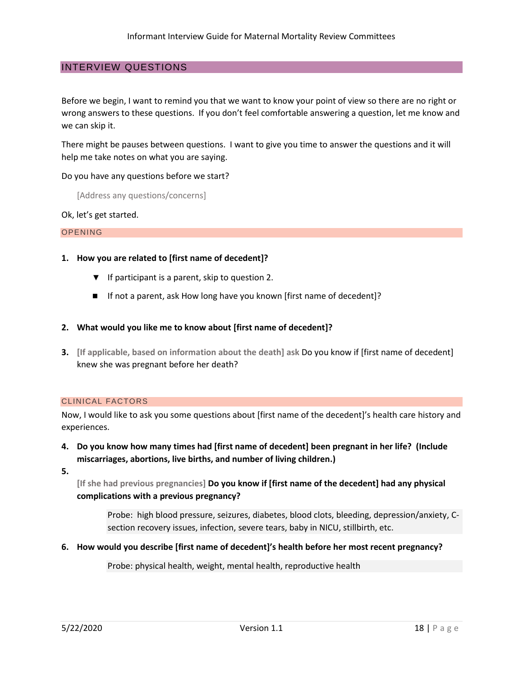## INTERVIEW QUESTIONS

Before we begin, I want to remind you that we want to know your point of view so there are no right or wrong answers to these questions. If you don't feel comfortable answering a question, let me know and we can skip it.

There might be pauses between questions. I want to give you time to answer the questions and it will help me take notes on what you are saying.

Do you have any questions before we start?

[Address any questions/concerns]

Ok, let's get started.

### OPENING

## **1. How you are related to [first name of decedent]?**

- ▼ If participant is a parent, skip to question 2.
- If not a parent, ask How long have you known [first name of decedent]?

## **2. What would you like me to know about [first name of decedent]?**

**3. [If applicable, based on information about the death] ask** Do you know if [first name of decedent] knew she was pregnant before her death?

### CLINICAL FACTORS

Now, I would like to ask you some questions about [first name of the decedent]'s health care history and experiences.

- **4. Do you know how many times had [first name of decedent] been pregnant in her life? (Include miscarriages, abortions, live births, and number of living children.)**
- **5.**

**[If she had previous pregnancies] Do you know if [first name of the decedent] had any physical complications with a previous pregnancy?**

Probe: high blood pressure, seizures, diabetes, blood clots, bleeding, depression/anxiety, Csection recovery issues, infection, severe tears, baby in NICU, stillbirth, etc.

**6. How would you describe [first name of decedent]'s health before her most recent pregnancy?**

Probe: physical health, weight, mental health, reproductive health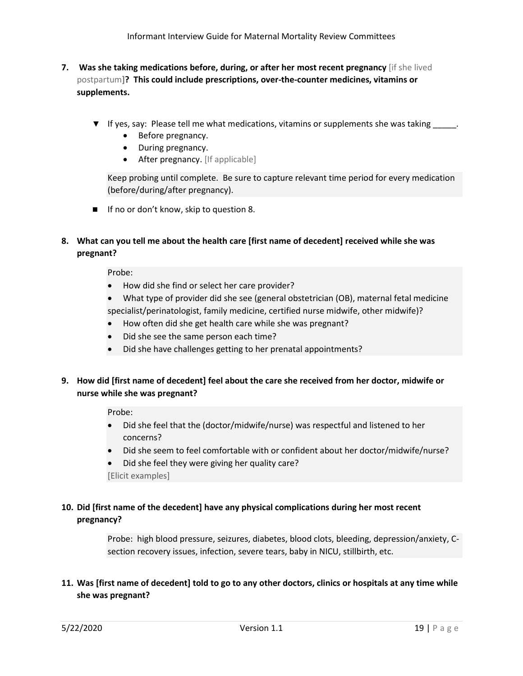- **7. Was she taking medications before, during, or after her most recent pregnancy** [if she lived postpartum**]? This could include prescriptions, over-the-counter medicines, vitamins or supplements.**
	- ▼ If yes, say: Please tell me what medications, vitamins or supplements she was taking \_\_\_\_\_*.*
		- Before pregnancy.
		- During pregnancy.
		- After pregnancy. [If applicable]

Keep probing until complete. Be sure to capture relevant time period for every medication (before/during/after pregnancy).

■ If no or don't know, skip to question 8.

## **8. What can you tell me about the health care [first name of decedent] received while she was pregnant?**

Probe:

- How did she find or select her care provider?
- What type of provider did she see (general obstetrician (OB), maternal fetal medicine specialist/perinatologist, family medicine, certified nurse midwife, other midwife)? •
- How often did she get health care while she was pregnant?
- Did she see the same person each time?
- Did she have challenges getting to her prenatal appointments?

## **9. How did [first name of decedent] feel about the care she received from her doctor, midwife or nurse while she was pregnant?**

Probe:

- Did she feel that the (doctor/midwife/nurse) was respectful and listened to her concerns?
- Did she seem to feel comfortable with or confident about her doctor/midwife/nurse?
- Did she feel they were giving her quality care? •

[Elicit examples]

## **10. Did [first name of the decedent] have any physical complications during her most recent pregnancy?**

Probe: high blood pressure, seizures, diabetes, blood clots, bleeding, depression/anxiety, Csection recovery issues, infection, severe tears, baby in NICU, stillbirth, etc.

## **11. Was [first name of decedent] told to go to any other doctors, clinics or hospitals at any time while she was pregnant?**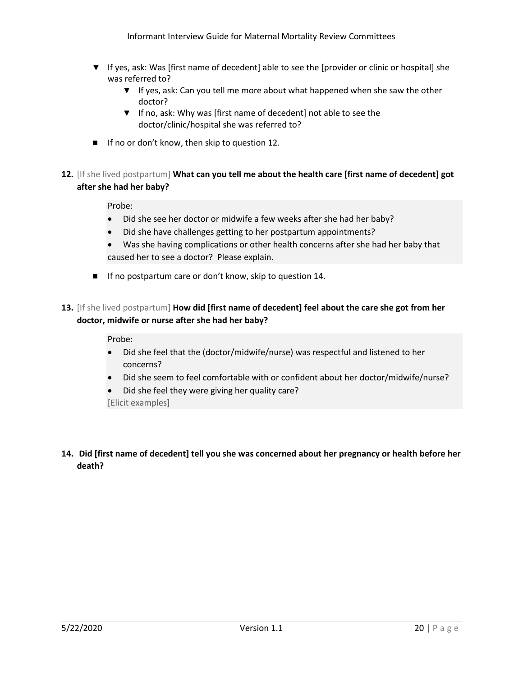- ▼ If yes, ask: Was [first name of decedent] able to see the [provider or clinic or hospital] she was referred to?
	- ▼ If yes, ask: Can you tell me more about what happened when she saw the other doctor?
	- ▼ If no, ask: Why was [first name of decedent] not able to see the doctor/clinic/hospital she was referred to?
- If no or don't know, then skip to question 12.
- **12.** [If she lived postpartum] **What can you tell me about the health care [first name of decedent] got after she had her baby?**

Probe:

- Did she see her doctor or midwife a few weeks after she had her baby?
- Did she have challenges getting to her postpartum appointments?
- Was she having complications or other health concerns after she had her baby that caused her to see a doctor? Please explain.
- If no postpartum care or don't know, skip to question 14.
- **13.** [If she lived postpartum] **How did [first name of decedent] feel about the care she got from her doctor, midwife or nurse after she had her baby?**

## Probe:

- Did she feel that the (doctor/midwife/nurse) was respectful and listened to her concerns?
- Did she seem to feel comfortable with or confident about her doctor/midwife/nurse?
- Did she feel they were giving her quality care?

[Elicit examples]

**14. Did [first name of decedent] tell you she was concerned about her pregnancy or health before her death?**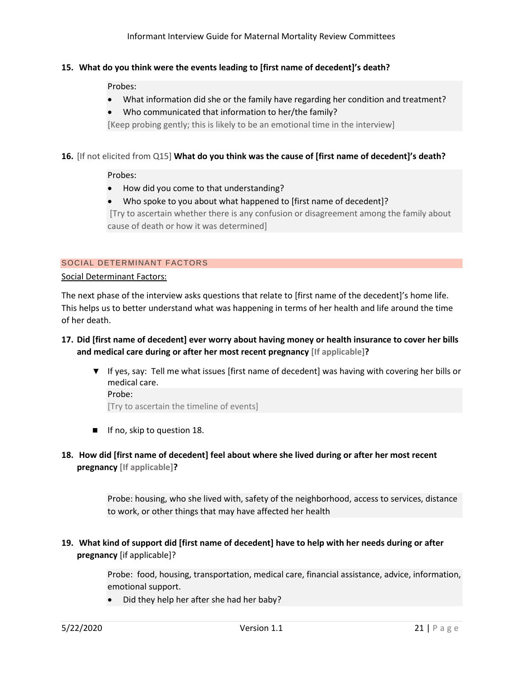## **15. What do you think were the events leading to [first name of decedent]'s death?**

Probes:

- What information did she or the family have regarding her condition and treatment?
- Who communicated that information to her/the family?

[Keep probing gently; this is likely to be an emotional time in the interview]

## **16.** [If not elicited from Q15] **What do you think was the cause of [first name of decedent]'s death?**

Probes:

- How did you come to that understanding?
- Who spoke to you about what happened to [first name of decedent]?

[Try to ascertain whether there is any confusion or disagreement among the family about cause of death or how it was determined]

## SOCIAL DETERMINANT FACTORS

## Social Determinant Factors:

The next phase of the interview asks questions that relate to [first name of the decedent]'s home life. This helps us to better understand what was happening in terms of her health and life around the time of her death.

- **17. Did [first name of decedent] ever worry about having money or health insurance to cover her bills and medical care during or after her most recent pregnancy [If applicable]?**
	- ▼ If yes, say: Tell me what issues [first name of decedent] was having with covering her bills or medical care. Probe:

[Try to ascertain the timeline of events]

- If no, skip to question 18.
- **18. How did [first name of decedent] feel about where she lived during or after her most recent pregnancy [If applicable]?**

Probe: housing, who she lived with, safety of the neighborhood, access to services, distance to work, or other things that may have affected her health

**19. What kind of support did [first name of decedent] have to help with her needs during or after pregnancy** [if applicable]?

> Probe: food, housing, transportation, medical care, financial assistance, advice, information, emotional support.

• Did they help her after she had her baby?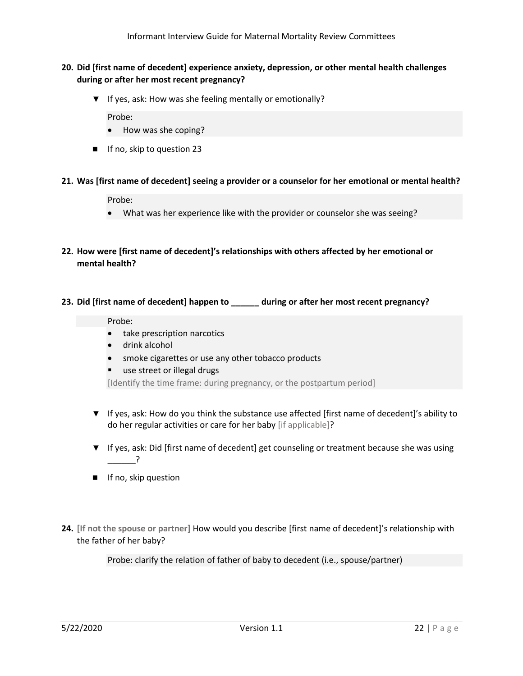- **20. Did [first name of decedent] experience anxiety, depression, or other mental health challenges during or after her most recent pregnancy?**
	- ▼ If yes, ask: How was she feeling mentally or emotionally?

Probe:

- How was she coping?
- If no, skip to question 23
- **21. Was [first name of decedent] seeing a provider or a counselor for her emotional or mental health?**

Probe:

- What was her experience like with the provider or counselor she was seeing?
- **22. How were [first name of decedent]'s relationships with others affected by her emotional or mental health?**
- **23. Did [first name of decedent] happen to \_\_\_\_\_\_ during or after her most recent pregnancy?**

## Probe:

- take prescription narcotics
- drink alcohol
- smoke cigarettes or use any other tobacco products
- use street or illegal drugs

[Identify the time frame: during pregnancy, or the postpartum period]

- ▼ If yes, ask: How do you think the substance use affected [first name of decedent]'s ability to do her regular activities or care for her baby [if applicable]?
- ▼ If yes, ask: Did [first name of decedent] get counseling or treatment because she was using  $\overline{?}$
- If no, skip question
- **24. [If not the spouse or partner]** How would you describe [first name of decedent]'s relationship with the father of her baby?

Probe: clarify the relation of father of baby to decedent (i.e., spouse/partner)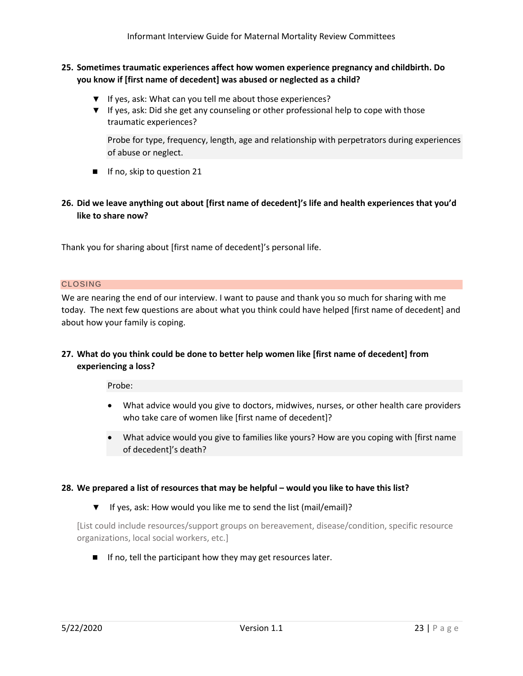## **25. Sometimes traumatic experiences affect how women experience pregnancy and childbirth. Do you know if [first name of decedent] was abused or neglected as a child?**

- ▼ If yes, ask: What can you tell me about those experiences?
- ▼ If yes, ask: Did she get any counseling or other professional help to cope with those traumatic experiences?

Probe for type, frequency, length, age and relationship with perpetrators during experiences of abuse or neglect.

■ If no, skip to question 21

## **26. Did we leave anything out about [first name of decedent]'s life and health experiences that you'd like to share now?**

Thank you for sharing about [first name of decedent]'s personal life.

## CLOSING

We are nearing the end of our interview. I want to pause and thank you so much for sharing with me today. The next few questions are about what you think could have helped [first name of decedent] and about how your family is coping.

## **27. What do you think could be done to better help women like [first name of decedent] from experiencing a loss?**

Probe:

- What advice would you give to doctors, midwives, nurses, or other health care providers who take care of women like [first name of decedent]?
- What advice would you give to families like yours? How are you coping with [first name of decedent]'s death?

## **28. We prepared a list of resources that may be helpful – would you like to have this list?**

▼ If yes, ask: How would you like me to send the list (mail/email)?

[List could include resources/support groups on bereavement, disease/condition, specific resource organizations, local social workers, etc.]

■ If no, tell the participant how they may get resources later.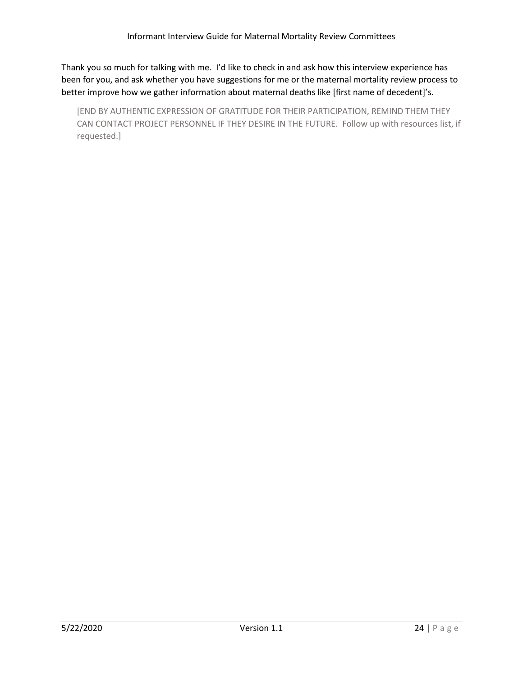Thank you so much for talking with me. I'd like to check in and ask how this interview experience has been for you, and ask whether you have suggestions for me or the maternal mortality review process to better improve how we gather information about maternal deaths like [first name of decedent]'s.

[END BY AUTHENTIC EXPRESSION OF GRATITUDE FOR THEIR PARTICIPATION, REMIND THEM THEY CAN CONTACT PROJECT PERSONNEL IF THEY DESIRE IN THE FUTURE. Follow up with resources list, if requested.]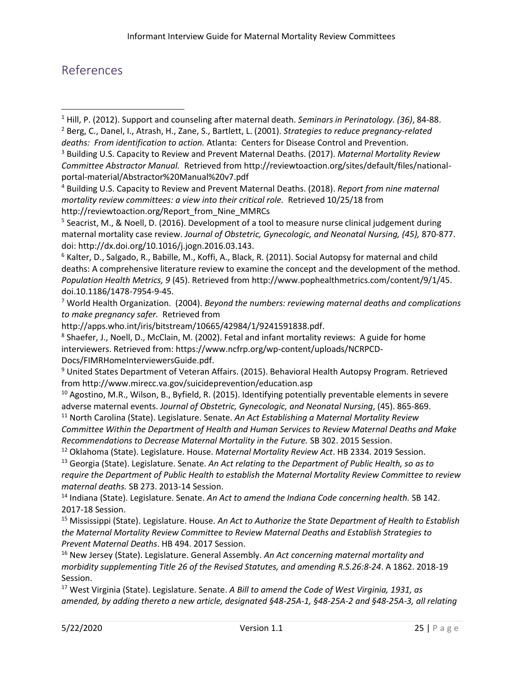## <span id="page-25-0"></span>References

<sup>1</sup> Hill, P. (2012). Support and counseling after maternal death. *Seminars in Perinatology. (36)*, 84-88.

- <sup>2</sup> Berg, C., Danel, I., Atrash, H., Zane, S., Bartlett, L. (2001). *Strategies to reduce pregnancy-related deaths: From identification to action.* Atlanta: Centers for Disease Control and Prevention.
- <sup>3</sup> Building U.S. Capacity to Review and Prevent Maternal Deaths. (2017). *Maternal Mortality Review Committee Abstractor Manual.* Retrieved from http://reviewtoaction.org/sites/default/files/nationalportal-material/Abstractor%20Manual%20v7.pdf

<sup>6</sup> Kalter, D., Salgado, R., Babille, M., Koffi, A., Black, R. (2011). Social Autopsy for maternal and child deaths: A comprehensive literature review to examine the concept and the development of the method. *Population Health Metrics, 9* (45). Retrieved from http://www.pophealthmetrics.com/content/9/1/45. doi.10.1186/1478-7954-9-45.

<sup>7</sup> World Health Organization. (2004). *Beyond the numbers: reviewing maternal deaths and complications to make pregnancy safer.* Retrieved from

http://apps.who.int/iris/bitstream/10665/42984/1/9241591838.pdf.

<sup>8</sup> Shaefer, J., Noell, D., McClain, M. (2002). Fetal and infant mortality reviews: A guide for home interviewers. Retrieved from: https://www.ncfrp.org/wp-content/uploads/NCRPCD-Docs/FIMRHomeInterviewersGuide.pdf.

<sup>9</sup> United States Department of Veteran Affairs. (2015). Behavioral Health Autopsy Program. Retrieved from<http://www.mirecc.va.gov/suicideprevention/education.asp>

<sup>10</sup> Agostino, M.R., Wilson, B., Byfield, R. (2015). Identifying potentially preventable elements in severe adverse maternal events. *Journal of Obstetric, Gynecologic, and Neonatal Nursing*, (45). 865-869.

<sup>11</sup> North Carolina (State). Legislature. Senate. *An Act Establishing a Maternal Mortality Review Committee Within the Department of Health and Human Services to Review Maternal Deaths and Make Recommendations to Decrease Maternal Mortality in the Future.* SB 302. 2015 Session.

<sup>12</sup> Oklahoma (State). Legislature. House. *Maternal Mortality Review Act*. HB 2334. 2019 Session. <sup>13</sup> Georgia (State). Legislature. Senate. *An Act relating to the Department of Public Health, so as to require the Department of Public Health to establish the Maternal Mortality Review Committee to review maternal deaths.* SB 273. 2013-14 Session.

<sup>14</sup> Indiana (State). Legislature. Senate. *An Act to amend the Indiana Code concerning health.* SB 142. 2017-18 Session.

<sup>15</sup> Mississippi (State). Legislature. House. *An Act to Authorize the State Department of Health to Establish the Maternal Mortality Review Committee to Review Maternal Deaths and Establish Strategies to Prevent Maternal Deaths*. HB 494. 2017 Session.

<sup>16</sup> New Jersey (State). Legislature. General Assembly. *An Act concerning maternal mortality and morbidity supplementing Title 26 of the Revised Statutes, and amending R.S.26:8-24*. A 1862. 2018-19 Session.

<sup>17</sup> West Virginia (State). Legislature. Senate. *A Bill to amend the Code of West Virginia, 1931, as amended, by adding thereto a new article, designated §48-25A-1, §48-25A-2 and §48-25A-3, all relating* 

<sup>4</sup> Building U.S. Capacity to Review and Prevent Maternal Deaths. (2018). *Report from nine maternal mortality review committees: a view into their critical role.* Retrieved 10/25/18 from http://reviewtoaction.org/Report\_from\_Nine\_MMRCs

<sup>&</sup>lt;sup>5</sup> Seacrist, M., & Noell, D. (2016). Development of a tool to measure nurse clinical judgement during maternal mortality case review. *Journal of Obstetric, Gynecologic, and Neonatal Nursing, (45),* 870-877. doi: http://dx.doi.org/10.1016/j.jogn.2016.03.143.